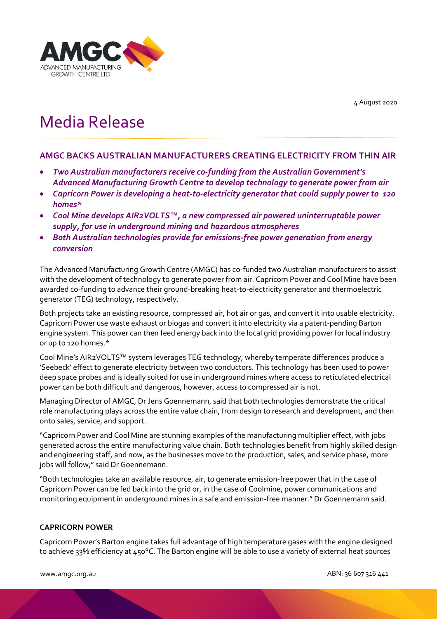4 August 2020



# Media Release

### **AMGC BACKS AUSTRALIAN MANUFACTURERS CREATING ELECTRICITY FROM THIN AIR**

- *Two Australian manufacturers receive co-funding from the Australian Government's Advanced Manufacturing Growth Centre to develop technology to generate power from air*
- *Capricorn Power is developing a heat-to-electricity generator that could supply power to 120 homes\**
- *Cool Mine develops AIR2VOLTS™, a new compressed air powered uninterruptable power supply, for use in underground mining and hazardous atmospheres*
- *Both Australian technologies provide for emissions-free power generation from energy conversion*

The Advanced Manufacturing Growth Centre (AMGC) has co-funded two Australian manufacturers to assist with the development of technology to generate power from air. Capricorn Power and Cool Mine have been awarded co-funding to advance their ground-breaking heat-to-electricity generator and thermoelectric generator (TEG) technology, respectively.

Both projects take an existing resource, compressed air, hot air or gas, and convert it into usable electricity. Capricorn Power use waste exhaust or biogas and convert it into electricity via a patent-pending Barton engine system. This power can then feed energy back into the local grid providing power for local industry or up to 120 homes.\*

Cool Mine's AIR2VOLTS™ system leverages TEG technology, whereby temperate differences produce a 'Seebeck' effect to generate electricity between two conductors. This technology has been used to power deep space probes and is ideally suited for use in underground mines where access to reticulated electrical power can be both difficult and dangerous, however, access to compressed air is not.

Managing Director of AMGC, Dr Jens Goennemann, said that both technologies demonstrate the critical role manufacturing plays across the entire value chain, from design to research and development, and then onto sales, service, and support.

"Capricorn Power and Cool Mine are stunning examples of the manufacturing multiplier effect, with jobs generated across the entire manufacturing value chain. Both technologies benefit from highly skilled design and engineering staff, and now, as the businesses move to the production, sales, and service phase, more jobs will follow," said Dr Goennemann.

"Both technologies take an available resource, air, to generate emission-free power that in the case of Capricorn Power can be fed back into the grid or, in the case of Coolmine, power communications and monitoring equipment in underground mines in a safe and emission-free manner." Dr Goennemann said.

#### **CAPRICORN POWER**

Capricorn Power's Barton engine takes full advantage of high temperature gases with the engine designed to achieve 33% efficiency at 450°C. The Barton engine will be able to use a variety of external heat sources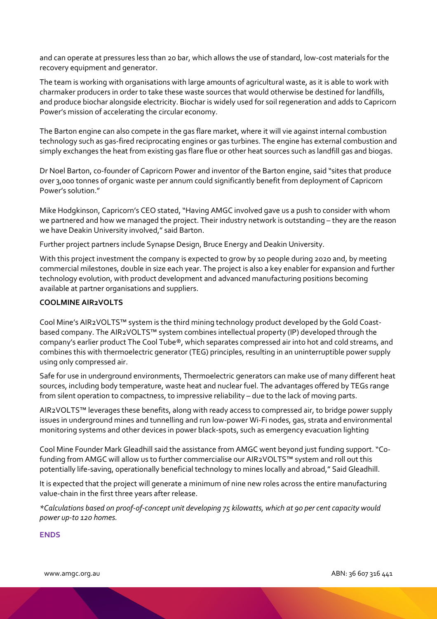and can operate at pressures less than 20 bar, which allows the use of standard, low-cost materials for the recovery equipment and generator.

The team is working with organisations with large amounts of agricultural waste, as it is able to work with charmaker producers in order to take these waste sources that would otherwise be destined for landfills, and produce biochar alongside electricity. Biochar is widely used for soil regeneration and adds to Capricorn Power's mission of accelerating the circular economy.

The Barton engine can also compete in the gas flare market, where it will vie against internal combustion technology such as gas-fired reciprocating engines or gas turbines. The engine has external combustion and simply exchanges the heat from existing gas flare flue or other heat sources such as landfill gas and biogas.

Dr Noel Barton, co-founder of Capricorn Power and inventor of the Barton engine, said "sites that produce over 3,000 tonnes of organic waste per annum could significantly benefit from deployment of Capricorn Power's solution."

Mike Hodgkinson, Capricorn's CEO stated, "Having AMGC involved gave us a push to consider with whom we partnered and how we managed the project. Their industry network is outstanding – they are the reason we have Deakin University involved," said Barton.

Further project partners include Synapse Design, Bruce Energy and Deakin University.

With this project investment the company is expected to grow by 10 people during 2020 and, by meeting commercial milestones, double in size each year. The project is also a key enabler for expansion and further technology evolution, with product development and advanced manufacturing positions becoming available at partner organisations and suppliers.

#### **COOLMINE AIR2VOLTS**

Cool Mine's AIR2VOLTS™ system is the third mining technology product developed by the Gold Coastbased company. The AIR2VOLTS™ system combines intellectual property (IP) developed through the company's earlier product The Cool Tube®, which separates compressed air into hot and cold streams, and combines this with thermoelectric generator (TEG) principles, resulting in an uninterruptible power supply using only compressed air.

Safe for use in underground environments, Thermoelectric generators can make use of many different heat sources, including body temperature, waste heat and nuclear fuel. The advantages offered by TEGs range from silent operation to compactness, to impressive reliability – due to the lack of moving parts.

AIR2VOLTS™ leverages these benefits, along with ready access to compressed air, to bridge power supply issues in underground mines and tunnelling and run low-power Wi-Fi nodes, gas, strata and environmental monitoring systems and other devices in power black-spots, such as emergency evacuation lighting

Cool Mine Founder Mark Gleadhill said the assistance from AMGC went beyond just funding support. "Cofunding from AMGC will allow us to further commercialise our AIR2VOLTS™ system and roll out this potentially life-saving, operationally beneficial technology to mines locally and abroad," Said Gleadhill.

It is expected that the project will generate a minimum of nine new roles across the entire manufacturing value-chain in the first three years after release.

*\*Calculations based on proof-of-concept unit developing 75 kilowatts, which at 90 per cent capacity would power up-to 120 homes.*

#### **ENDS**